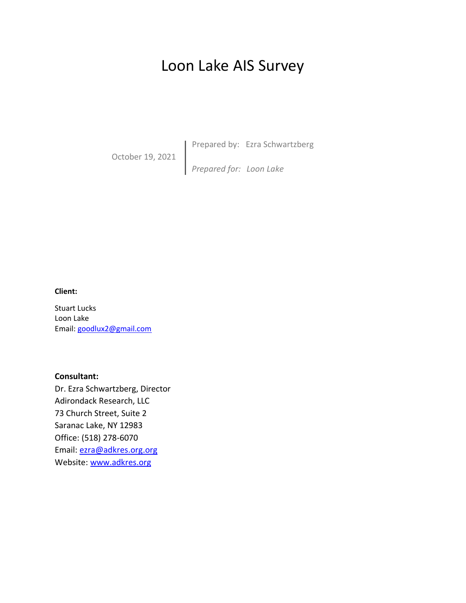# Loon Lake AIS Survey

October 19, 2021

**Prepared by: Ezra Schwartzberg** 

*Prepared for: Loon Lake*

#### **Client:**

Stuart Lucks Loon Lake Email: goodlux2@gmail.com

**Consultant:** Dr. Ezra Schwartzberg, Director Adirondack Research, LLC 73 Church Street, Suite 2 Saranac Lake, NY 12983 Office: (518) 278-6070 Email: ezra@adkres.org.org

Website: www.adkres.org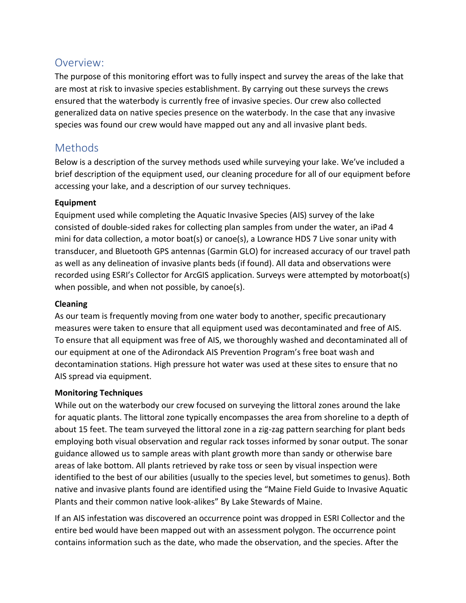## Overview:

The purpose of this monitoring effort was to fully inspect and survey the areas of the lake that are most at risk to invasive species establishment. By carrying out these surveys the crews ensured that the waterbody is currently free of invasive species. Our crew also collected generalized data on native species presence on the waterbody. In the case that any invasive species was found our crew would have mapped out any and all invasive plant beds.

# Methods

Below is a description of the survey methods used while surveying your lake. We've included a brief description of the equipment used, our cleaning procedure for all of our equipment before accessing your lake, and a description of our survey techniques.

### **Equipment**

Equipment used while completing the Aquatic Invasive Species (AIS) survey of the lake consisted of double-sided rakes for collecting plan samples from under the water, an iPad 4 mini for data collection, a motor boat(s) or canoe(s), a Lowrance HDS 7 Live sonar unity with transducer, and Bluetooth GPS antennas (Garmin GLO) for increased accuracy of our travel path as well as any delineation of invasive plants beds (if found). All data and observations were recorded using ESRI's Collector for ArcGIS application. Surveys were attempted by motorboat(s) when possible, and when not possible, by canoe(s).

### **Cleaning**

As our team is frequently moving from one water body to another, specific precautionary measures were taken to ensure that all equipment used was decontaminated and free of AIS. To ensure that all equipment was free of AIS, we thoroughly washed and decontaminated all of our equipment at one of the Adirondack AIS Prevention Program's free boat wash and decontamination stations. High pressure hot water was used at these sites to ensure that no AIS spread via equipment.

### **Monitoring Techniques**

While out on the waterbody our crew focused on surveying the littoral zones around the lake for aquatic plants. The littoral zone typically encompasses the area from shoreline to a depth of about 15 feet. The team surveyed the littoral zone in a zig-zag pattern searching for plant beds employing both visual observation and regular rack tosses informed by sonar output. The sonar guidance allowed us to sample areas with plant growth more than sandy or otherwise bare areas of lake bottom. All plants retrieved by rake toss or seen by visual inspection were identified to the best of our abilities (usually to the species level, but sometimes to genus). Both native and invasive plants found are identified using the "Maine Field Guide to Invasive Aquatic Plants and their common native look-alikes" By Lake Stewards of Maine.

If an AIS infestation was discovered an occurrence point was dropped in ESRI Collector and the entire bed would have been mapped out with an assessment polygon. The occurrence point contains information such as the date, who made the observation, and the species. After the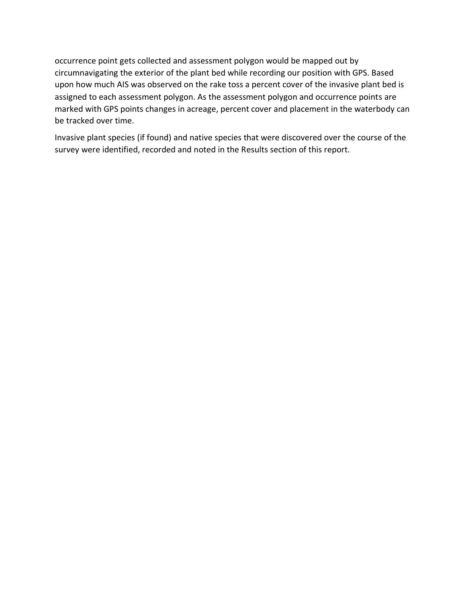occurrence point gets collected and assessment polygon would be mapped out by circumnavigating the exterior of the plant bed while recording our position with GPS. Based upon how much AIS was observed on the rake toss a percent cover of the invasive plant bed is assigned to each assessment polygon. As the assessment polygon and occurrence points are marked with GPS points changes in acreage, percent cover and placement in the waterbody can be tracked over time.

Invasive plant species (if found) and native species that were discovered over the course of the survey were identified, recorded and noted in the Results section of this report.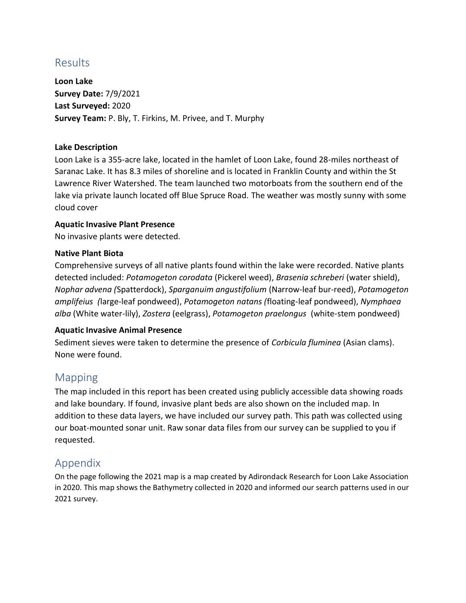# Results

**Loon Lake Survey Date:** 7/9/2021 **Last Surveyed:** 2020 **Survey Team:** P. Bly, T. Firkins, M. Privee, and T. Murphy

#### **Lake Description**

Loon Lake is a 355-acre lake, located in the hamlet of Loon Lake, found 28-miles northeast of Saranac Lake. It has 8.3 miles of shoreline and is located in Franklin County and within the St Lawrence River Watershed. The team launched two motorboats from the southern end of the lake via private launch located off Blue Spruce Road. The weather was mostly sunny with some cloud cover

#### **Aquatic Invasive Plant Presence**

No invasive plants were detected.

#### **Native Plant Biota**

Comprehensive surveys of all native plants found within the lake were recorded. Native plants detected included: *Potamogeton corodata* (Pickerel weed), *Brasenia schreberi* (water shield), *Nophar advena (*Spatterdock), *Sparganuim angustifolium* (Narrow-leaf bur-reed), *Potamogeton amplifeius (*large-leaf pondweed), *Potamogeton natans (*floating-leaf pondweed), *Nymphaea alba* (White water-lily), *Zostera* (eelgrass), *Potamogeton praelongus* (white-stem pondweed)

#### **Aquatic Invasive Animal Presence**

Sediment sieves were taken to determine the presence of *Corbicula fluminea* (Asian clams). None were found.

## Mapping

The map included in this report has been created using publicly accessible data showing roads and lake boundary. If found, invasive plant beds are also shown on the included map. In addition to these data layers, we have included our survey path. This path was collected using our boat-mounted sonar unit. Raw sonar data files from our survey can be supplied to you if requested.

### Appendix

On the page following the 2021 map is a map created by Adirondack Research for Loon Lake Association in 2020. This map shows the Bathymetry collected in 2020 and informed our search patterns used in our 2021 survey.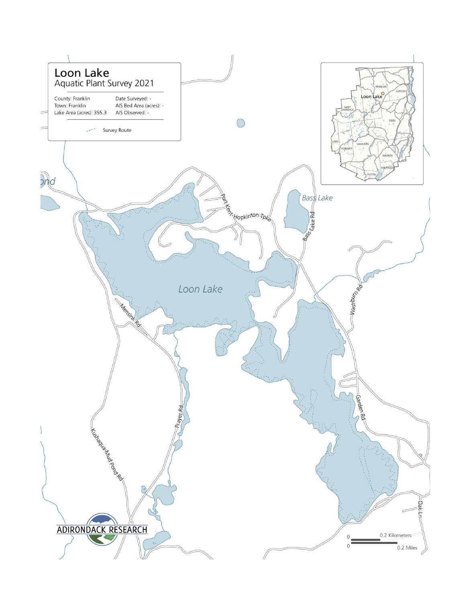